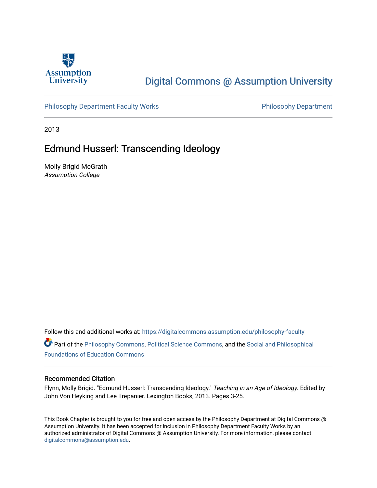

# [Digital Commons @ Assumption University](https://digitalcommons.assumption.edu/)

#### [Philosophy Department Faculty Works](https://digitalcommons.assumption.edu/philosophy-faculty) **Philosophy Department**

2013

### Edmund Husserl: Transcending Ideology

Molly Brigid McGrath Assumption College

Follow this and additional works at: [https://digitalcommons.assumption.edu/philosophy-faculty](https://digitalcommons.assumption.edu/philosophy-faculty?utm_source=digitalcommons.assumption.edu%2Fphilosophy-faculty%2F13&utm_medium=PDF&utm_campaign=PDFCoverPages)  Part of the [Philosophy Commons,](http://network.bepress.com/hgg/discipline/525?utm_source=digitalcommons.assumption.edu%2Fphilosophy-faculty%2F13&utm_medium=PDF&utm_campaign=PDFCoverPages) [Political Science Commons,](http://network.bepress.com/hgg/discipline/386?utm_source=digitalcommons.assumption.edu%2Fphilosophy-faculty%2F13&utm_medium=PDF&utm_campaign=PDFCoverPages) and the [Social and Philosophical](http://network.bepress.com/hgg/discipline/799?utm_source=digitalcommons.assumption.edu%2Fphilosophy-faculty%2F13&utm_medium=PDF&utm_campaign=PDFCoverPages) 

[Foundations of Education Commons](http://network.bepress.com/hgg/discipline/799?utm_source=digitalcommons.assumption.edu%2Fphilosophy-faculty%2F13&utm_medium=PDF&utm_campaign=PDFCoverPages)

#### Recommended Citation

Flynn, Molly Brigid. "Edmund Husserl: Transcending Ideology." Teaching in an Age of Ideology. Edited by John Von Heyking and Lee Trepanier. Lexington Books, 2013. Pages 3-25.

This Book Chapter is brought to you for free and open access by the Philosophy Department at Digital Commons @ Assumption University. It has been accepted for inclusion in Philosophy Department Faculty Works by an authorized administrator of Digital Commons @ Assumption University. For more information, please contact [digitalcommons@assumption.edu](mailto:digitalcommons@assumption.edu).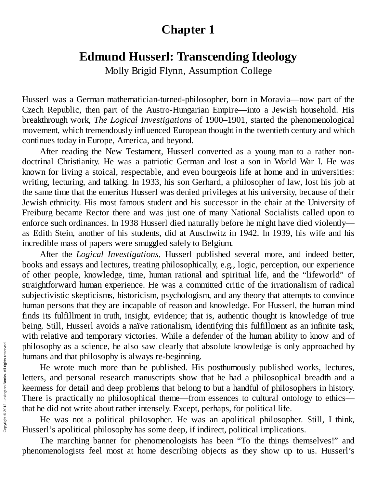# **Chapter 1**

## **Edmund Husserl: Transcending Ideology**

Molly Brigid Flynn, Assumption College

Husserl was a German mathematician-turned-philosopher, born in Moravia—now part of the Czech Republic, then part of the Austro-Hungarian Empire—into a Jewish household. His breakthrough work, *The Logical Investigations* of 1900–1901, started the phenomenological movement, which tremendously influenced European thought in the twentieth century and which continues today in Europe, America, and beyond.

After reading the New Testament, Husserl converted as a young man to a rather nondoctrinal Christianity. He was a patriotic German and lost a son in World War I. He was known for living a stoical, respectable, and even bourgeois life at home and in universities: writing, lecturing, and talking. In 1933, his son Gerhard, a philosopher of law, lost his job at the same time that the emeritus Husserl was denied privileges at his university, because of their Jewish ethnicity. His most famous student and his successor in the chair at the University of Freiburg became Rector there and was just one of many National Socialists called upon to enforce such ordinances. In 1938 Husserl died naturally before he might have died violentlyas Edith Stein, another of his students, did at Auschwitz in 1942. In 1939, his wife and his incredible mass of papers were smuggled safely to Belgium.

After the *Logical Investigations*, Husserl published several more, and indeed better, books and essays and lectures, treating philosophically, e.g., logic, perception, our experience of other people, knowledge, time, human rational and spiritual life, and the "lifeworld" of straightforward human experience. He was a committed critic of the irrationalism of radical subjectivistic skepticisms, historicism, psychologism, and any theory that attempts to convince human persons that they are incapable of reason and knowledge. For Husserl, the human mind finds its fulfillment in truth, insight, evidence; that is, authentic thought is knowledge of true being. Still, Husserl avoids a naïve rationalism, identifying this fulfillment as an infinite task, with relative and temporary victories. While a defender of the human ability to know and of philosophy as a science, he also saw clearly that absolute knowledge is only approached by humans and that philosophy is always re-beginning.

He wrote much more than he published. His posthumously published works, lectures, letters, and personal research manuscripts show that he had a philosophical breadth and a keenness for detail and deep problems that belong to but a handful of philosophers in history. There is practically no philosophical theme—from essences to cultural ontology to ethics that he did not write about rather intensely. Except, perhaps, for political life.

He was not a political philosopher. He was an apolitical philosopher. Still, I think, Husserl's apolitical philosophy has some deep, if indirect, political implications.

The marching banner for phenomenologists has been "To the things themselves!" and phenomenologists feel most at home describing objects as they show up to us. Husserl's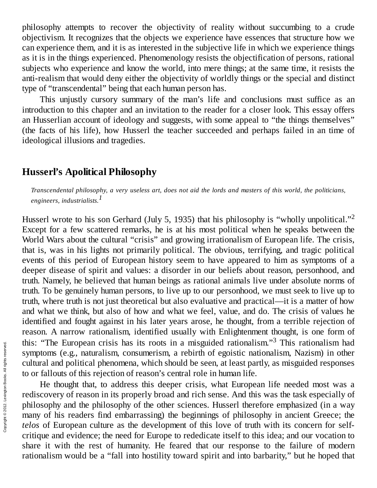philosophy attempts to recover the objectivity of reality without succumbing to a crude objectivism. It recognizes that the objects we experience have essences that structure how we can experience them, and it is as interested in the subjective life in which we experience things as it is in the things experienced. Phenomenology resists the objectification of persons, rational subjects who experience and know the world, into mere things; at the same time, it resists the anti-realism that would deny either the objectivity of worldly things or the special and distinct type of "transcendental" being that each human person has.

This unjustly cursory summary of the man's life and conclusions must suffice as an introduction to this chapter and an invitation to the reader for a closer look. This essay offers an Husserlian account of ideology and suggests, with some appeal to "the things themselves" (the facts of his life), how Husserl the teacher succeeded and perhaps failed in an time of ideological illusions and tragedies.

#### **Husserl's Apolitical Philosophy**

*Transcendental philosophy, a very useless art, does not aid the lords and masters of this world, the politicians, engineers, industrialists.1*

Husserl wrote to his son Gerhard (July 5, 1935) that his philosophy is "wholly unpolitical."<sup>2</sup> Except for a few scattered remarks, he is at his most political when he speaks between the World Wars about the cultural "crisis" and growing irrationalism of European life. The crisis, that is, was in his lights not primarily political. The obvious, terrifying, and tragic political events of this period of European history seem to have appeared to him as symptoms of a deeper disease of spirit and values: a disorder in our beliefs about reason, personhood, and truth. Namely, he believed that human beings as rational animals live under absolute norms of truth. To be genuinely human persons, to live up to our personhood, we must seek to live up to truth, where truth is not just theoretical but also evaluative and practical—it is a matter of how and what we think, but also of how and what we feel, value, and do. The crisis of values he identified and fought against in his later years arose, he thought, from a terrible rejection of reason. A narrow rationalism, identified usually with Enlightenment thought, is one form of this: "The European crisis has its roots in a misguided rationalism."<sup>3</sup> This rationalism had symptoms (e.g., naturalism, consumerism, a rebirth of egoistic nationalism, Nazism) in other cultural and political phenomena, which should be seen, at least partly, as misguided responses to or fallouts of this rejection of reason's central role in human life.

He thought that, to address this deeper crisis, what European life needed most was a rediscovery of reason in its properly broad and rich sense. And this was the task especially of philosophy and the philosophy of the other sciences. Husserl therefore emphasized (in a way many of his readers find embarrassing) the beginnings of philosophy in ancient Greece; the *telos* of European culture as the development of this love of truth with its concern for selfcritique and evidence; the need for Europe to rededicate itself to this idea; and our vocation to share it with the rest of humanity. He feared that our response to the failure of modern rationalism would be a "fall into hostility toward spirit and into barbarity," but he hoped that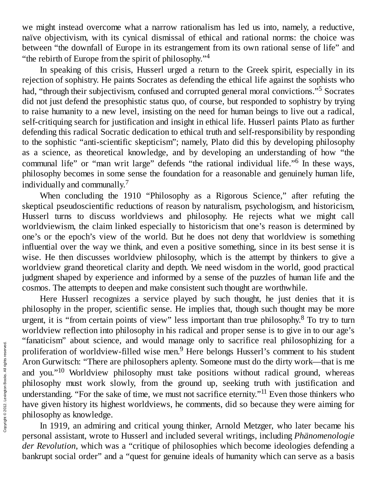we might instead overcome what a narrow rationalism has led us into, namely, a reductive, naïve objectivism, with its cynical dismissal of ethical and rational norms: the choice was between "the downfall of Europe in its estrangement from its own rational sense of life" and "the rebirth of Europe from the spirit of philosophy." $4$ 

In speaking of this crisis, Husserl urged a return to the Greek spirit, especially in its rejection of sophistry. He paints Socrates as defending the ethical life against the sophists who had, "through their subjectivism, confused and corrupted general moral convictions."<sup>5</sup> Socrates did not just defend the presophistic status quo, of course, but responded to sophistry by trying to raise humanity to a new level, insisting on the need for human beings to live out a radical, self-critiquing search for justification and insight in ethical life. Husserl paints Plato as further defending this radical Socratic dedication to ethical truth and self-responsibility by responding to the sophistic "anti-scientific skepticism"; namely, Plato did this by developing philosophy as a science, as theoretical knowledge, and by developing an understanding of how "the communal life" or "man writ large" defends "the rational individual life."<sup>6</sup> In these ways, philosophy becomes in some sense the foundation for a reasonable and genuinely human life, individually and communally.<sup>7</sup>

When concluding the 1910 "Philosophy as a Rigorous Science," after refuting the skeptical pseudoscientific reductions of reason by naturalism, psychologism, and historicism, Husserl turns to discuss worldviews and philosophy. He rejects what we might call worldviewism, the claim linked especially to historicism that one's reason is determined by one's or the epoch's view of the world. But he does not deny that worldview is something influential over the way we think, and even a positive something, since in its best sense it is wise. He then discusses worldview philosophy, which is the attempt by thinkers to give a worldview grand theoretical clarity and depth. We need wisdom in the world, good practical judgment shaped by experience and informed by a sense of the puzzles of human life and the cosmos. The attempts to deepen and make consistent such thought are worthwhile.

Here Husserl recognizes a service played by such thought, he just denies that it is philosophy in the proper, scientific sense. He implies that, though such thought may be more urgent, it is "from certain points of view" less important than true philosophy.<sup>8</sup> To try to turn worldview reflection into philosophy in his radical and proper sense is to give in to our age's "fanaticism" about science, and would manage only to sacrifice real philosophizing for a proliferation of worldview-filled wise men.<sup>9</sup> Here belongs Husserl's comment to his student Aron Gurwitsch: "There are philosophers aplenty. Someone must do the dirty work—that is me and you."<sup>10</sup> Worldview philosophy must take positions without radical ground, whereas philosophy must work slowly, from the ground up, seeking truth with justification and understanding. "For the sake of time, we must not sacrifice eternity."<sup>11</sup> Even those thinkers who have given history its highest worldviews, he comments, did so because they were aiming for philosophy as knowledge.

In 1919, an admiring and critical young thinker, Arnold Metzger, who later became his personal assistant, wrote to Husserl and included several writings, including *Phänomenologie der Revolution*, which was a "critique of philosophies which become ideologies defending a bankrupt social order" and a "quest for genuine ideals of humanity which can serve as a basis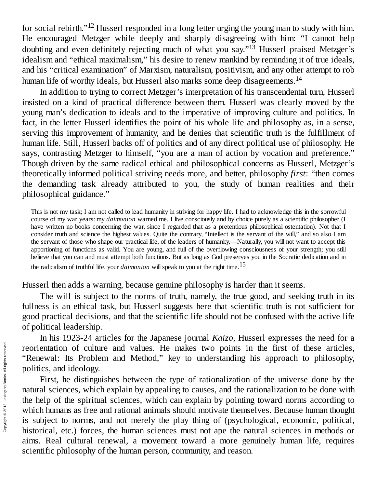for social rebirth."<sup>12</sup> Husserl responded in a long letter urging the young man to study with him. He encouraged Metzger while deeply and sharply disagreeing with him: "I cannot help doubting and even definitely rejecting much of what you say."<sup>13</sup> Husserl praised Metzger's idealism and "ethical maximalism," his desire to renew mankind by reminding it of true ideals, and his "critical examination" of Marxism, naturalism, positivism, and any other attempt to rob human life of worthy ideals, but Husserl also marks some deep disagreements.<sup>14</sup>

In addition to trying to correct Metzger's interpretation of his transcendental turn, Husserl insisted on a kind of practical difference between them. Husserl was clearly moved by the young man's dedication to ideals and to the imperative of improving culture and politics. In fact, in the letter Husserl identifies the point of his whole life and philosophy as, in a sense, serving this improvement of humanity, and he denies that scientific truth is the fulfillment of human life. Still, Husserl backs off of politics and of any direct political use of philosophy. He says, contrasting Metzger to himself, "you are a man of action by vocation and preference." Though driven by the same radical ethical and philosophical concerns as Husserl, Metzger's theoretically informed political striving needs more, and better, philosophy *first*: "then comes the demanding task already attributed to you, the study of human realities and their philosophical guidance."

This is not my task; I am not called to lead humanity in striving for happy life. I had to acknowledge this in the sorrowful course of my war years: my *daimonion* warned me. I live consciously and by choice purely as a scientific philosopher (I have written no books concerning the war, since I regarded that as a pretentious philosophical ostentation). Not that I consider truth and science the highest values. Quite the contrary, "Intellect is the servant of the will," and so also I am the servant of those who shape our practical life, of the leaders of humanity.—Naturally, you will not want to accept this apportioning of functions as valid. You are young, and full of the overflowing consciousness of your strength; you still believe that you can and must attempt both functions. But as long as God preserves you in the Socratic dedication and in the radicalism of truthful life, your *daimonion* will speak to you at the right time.<sup>15</sup>

Husserl then adds a warning, because genuine philosophy is harder than it seems.

The will is subject to the norms of truth, namely, the true good, and seeking truth in its fullness is an ethical task, but Husserl suggests here that scientific truth is not sufficient for good practical decisions, and that the scientific life should not be confused with the active life of political leadership.

In his 1923-24 articles for the Japanese journal *Kaizo*, Husserl expresses the need for a reorientation of culture and values. He makes two points in the first of these articles, "Renewal: Its Problem and Method," key to understanding his approach to philosophy, politics, and ideology.

First, he distinguishes between the type of rationalization of the universe done by the natural sciences, which explain by appealing to causes, and the rationalization to be done with the help of the spiritual sciences, which can explain by pointing toward norms according to which humans as free and rational animals should motivate themselves. Because human thought is subject to norms, and not merely the play thing of (psychological, economic, political, historical, etc.) forces, the human sciences must not ape the natural sciences in methods or aims. Real cultural renewal, a movement toward a more genuinely human life, requires scientific philosophy of the human person, community, and reason.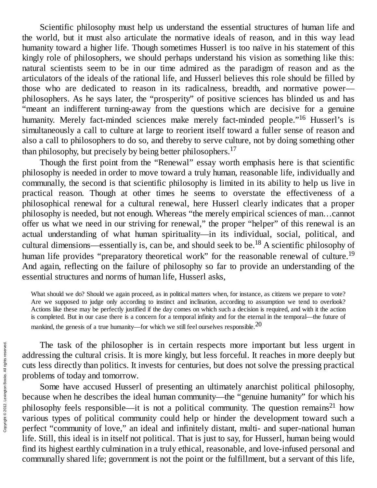Scientific philosophy must help us understand the essential structures of human life and the world, but it must also articulate the normative ideals of reason, and in this way lead humanity toward a higher life. Though sometimes Husserl is too naïve in his statement of this kingly role of philosophers, we should perhaps understand his vision as something like this: natural scientists seem to be in our time admired as the paradigm of reason and as the articulators of the ideals of the rational life, and Husserl believes this role should be filled by those who are dedicated to reason in its radicalness, breadth, and normative power philosophers. As he says later, the "prosperity" of positive sciences has blinded us and has "meant an indifferent turning-away from the questions which are decisive for a genuine humanity. Merely fact-minded sciences make merely fact-minded people."<sup>16</sup> Husserl's is simultaneously a call to culture at large to reorient itself toward a fuller sense of reason and also a call to philosophers to do so, and thereby to serve culture, not by doing something other than philosophy, but precisely by being better philosophers. $17$ 

Though the first point from the "Renewal" essay worth emphasis here is that scientific philosophy is needed in order to move toward a truly human, reasonable life, individually and communally, the second is that scientific philosophy is limited in its ability to help us live in practical reason. Though at other times he seems to overstate the effectiveness of a philosophical renewal for a cultural renewal, here Husserl clearly indicates that a proper philosophy is needed, but not enough. Whereas "the merely empirical sciences of man...cannot offer us what we need in our striving for renewal," the proper "helper" of this renewal is an actual understanding of what human spirituality—in its individual, social, political, and cultural dimensions—essentially is, can be, and should seek to be.<sup>18</sup> A scientific philosophy of human life provides "preparatory theoretical work" for the reasonable renewal of culture.<sup>19</sup> And again, reflecting on the failure of philosophy so far to provide an understanding of the essential structures and norms of human life, Husserl asks,

What should we do? Should we again proceed, as in political matters when, for instance, as citizens we prepare to vote? Are we supposed to judge only according to instinct and inclination, according to assumption we tend to overlook? Actions like these may be perfectly justified if the day comes on which such a decision is required, and with it the action is completed. But in our case there is a concern for a temporal infinity and for the eternal in the temporal—the future of mankind, the genesis of a true humanity—for which we still feel ourselves responsible.<sup>20</sup>

The task of the philosopher is in certain respects more important but less urgent in addressing the cultural crisis. It is more kingly, but less forceful. It reaches in more deeply but cuts less directly than politics. It invests for centuries, but does not solve the pressing practical problems of today and tomorrow.

Some have accused Husserl of presenting an ultimately anarchist political philosophy, because when he describes the ideal human community—the "genuine humanity" for which his philosophy feels responsible—it is not a political community. The question remains<sup>21</sup> how various types of political community could help or hinder the development toward such a perfect "community of love," an ideal and infinitely distant, multi- and super-national human life. Still, this ideal is in itself not political. That is just to say, for Husserl, human being would find its highest earthly culmination in a truly ethical, reasonable, and love-infused personal and communally shared life; government is not the point or the fulfillment, but a servant of this life,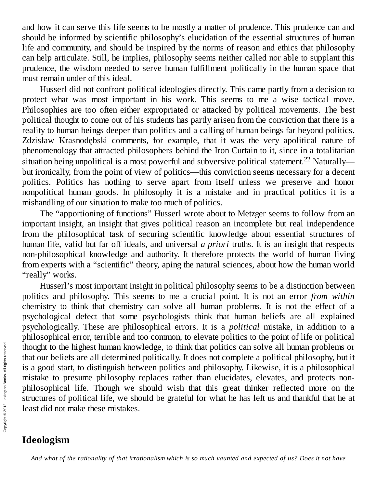and how it can serve this life seems to be mostly a matter of prudence. This prudence can and should be informed by scientific philosophy's elucidation of the essential structures of human life and community, and should be inspired by the norms of reason and ethics that philosophy can help articulate. Still, he implies, philosophy seems neither called nor able to supplant this prudence, the wisdom needed to serve human fulfillment politically in the human space that must remain under of this ideal.

Husserl did not confront political ideologies directly. This came partly from a decision to protect what was most important in his work. This seems to me a wise tactical move. Philosophies are too often either expropriated or attacked by political movements. The best political thought to come out of his students has partly arisen from the conviction that there is a reality to human beings deeper than politics and a calling of human beings far beyond politics. Zdzisław Krasnodębski comments, for example, that it was the very apolitical nature of phenomenology that attracted philosophers behind the Iron Curtain to it, since in a totalitarian situation being unpolitical is a most powerful and subversive political statement.<sup>22</sup> Naturally but ironically, from the point of view of politics—this conviction seems necessary for a decent politics. Politics has nothing to serve apart from itself unless we preserve and honor nonpolitical human goods. In philosophy it is a mistake and in practical politics it is a mishandling of our situation to make too much of politics.

The "apportioning of functions" Husserl wrote about to Metzger seems to follow from an important insight, an insight that gives political reason an incomplete but real independence from the philosophical task of securing scientific knowledge about essential structures of human life, valid but far off ideals, and universal *a priori* truths. It is an insight that respects non-philosophical knowledge and authority. It therefore protects the world of human living from experts with a "scientific" theory, aping the natural sciences, about how the human world "really" works.

Husserl's most important insight in political philosophy seems to be a distinction between politics and philosophy. This seems to me a crucial point. It is not an error *from within* chemistry to think that chemistry can solve all human problems. It is not the effect of a psychological defect that some psychologists think that human beliefs are all explained psychologically. These are philosophical errors. It is a *political* mistake, in addition to a philosophical error, terrible and too common, to elevate politics to the point of life or political thought to the highest human knowledge, to think that politics can solve all human problems or that our beliefs are all determined politically. It does not complete a political philosophy, but it is a good start, to distinguish between politics and philosophy. Likewise, it is a philosophical mistake to presume philosophy replaces rather than elucidates, elevates, and protects nonphilosophical life. Though we should wish that this great thinker reflected more on the structures of political life, we should be grateful for what he has left us and thankful that he at least did not make these mistakes.

#### **Ideologism**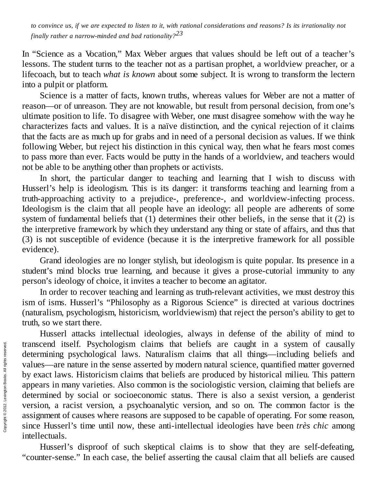*to convince us, if we are expected to listen to it, with rational considerations and reasons? Is its irrationality not finally rather a narrow-minded and bad rationality?23*

In "Science as a Vocation," Max Weber argues that values should be left out of a teacher's lessons. The student turns to the teacher not as a partisan prophet, a worldview preacher, or a lifecoach, but to teach *what is known* about some subject. It is wrong to transform the lectern into a pulpit or platform.

Science is a matter of facts, known truths, whereas values for Weber are not a matter of reason—or of unreason. They are not knowable, but result from personal decision, from one's ultimate position to life. To disagree with Weber, one must disagree somehow with the way he characterizes facts and values. It is a naïve distinction, and the cynical rejection of it claims that the facts are as much up for grabs and in need of a personal decision as values. If we think following Weber, but reject his distinction in this cynical way, then what he fears most comes to pass more than ever. Facts would be putty in the hands of a worldview, and teachers would not be able to be anything other than prophets or activists.

In short, the particular danger to teaching and learning that I wish to discuss with Husserl's help is ideologism. This is its danger: it transforms teaching and learning from a truth-approaching activity to a prejudice-, preference-, and worldview-infecting process. Ideologism is the claim that all people have an ideology: all people are adherents of some system of fundamental beliefs that  $(1)$  determines their other beliefs, in the sense that it  $(2)$  is the interpretive framework by which they understand any thing or state of affairs, and thus that (3) is not susceptible of evidence (because it is the interpretive framework for all possible evidence).

Grand ideologies are no longer stylish, but ideologism is quite popular. Its presence in a student's mind blocks true learning, and because it gives a prose-cutorial immunity to any person's ideology of choice, it invites a teacher to become an agitator.

In order to recover teaching and learning as truth-relevant activities, we must destroy this ism of isms. Husserl's "Philosophy as a Rigorous Science" is directed at various doctrines (naturalism, psychologism, historicism, worldviewism) that reject the person's ability to get to truth, so we start there.

Husserl attacks intellectual ideologies, always in defense of the ability of mind to transcend itself. Psychologism claims that beliefs are caught in a system of causally determining psychological laws. Naturalism claims that all things—including beliefs and values—are nature in the sense asserted by modern natural science, quantified matter governed by exact laws. Historicism claims that beliefs are produced by historical milieu. This pattern appears in many varieties. Also common is the sociologistic version, claiming that beliefs are determined by social or socioeconomic status. There is also a sexist version, a genderist version, a racist version, a psychoanalytic version, and so on. The common factor is the assignment of causes where reasons are supposed to be capable of operating. For some reason, since Husserl's time until now, these anti-intellectual ideologies have been *très chic* among intellectuals.

Husserl's disproof of such skeptical claims is to show that they are self-defeating, "counter-sense." In each case, the belief asserting the causal claim that all beliefs are caused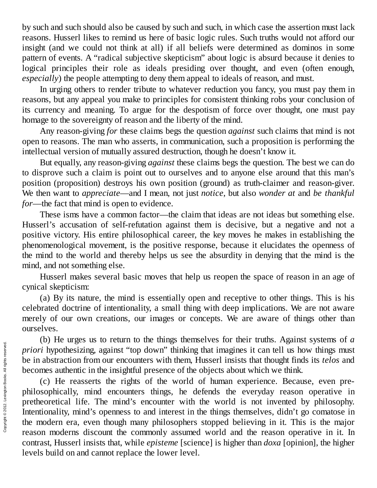by such and such should also be caused by such and such, in which case the assertion must lack reasons. Husserl likes to remind us here of basic logic rules. Such truths would not afford our insight (and we could not think at all) if all beliefs were determined as dominos in some pattern of events. A "radical subjective skepticism" about logic is absurd because it denies to logical principles their role as ideals presiding over thought, and even (often enough, *especially*) the people attempting to deny them appeal to ideals of reason, and must.

In urging others to render tribute to whatever reduction you fancy, you must pay them in reasons, but any appeal you make to principles for consistent thinking robs your conclusion of its currency and meaning. To argue for the despotism of force over thought, one must pay homage to the sovereignty of reason and the liberty of the mind.

Any reason-giving *for* these claims begs the question *against* such claims that mind is not open to reasons. The man who asserts, in communication, such a proposition is performing the intellectual version of mutually assured destruction, though he doesn't know it.

But equally, any reason-giving *against* these claims begs the question. The best we can do to disprove such a claim is point out to ourselves and to anyone else around that this man's position (proposition) destroys his own position (ground) as truth-claimer and reason-giver. We then want to *appreciate*—and I mean, not just *notice*, but also *wonder* at and *be thankful for*—the fact that mind is open to evidence.

These isms have a common factor—the claim that ideas are not ideas but something else. Husserl's accusation of self-refutation against them is decisive, but a negative and not a positive victory. His entire philosophical career, the key moves he makes in establishing the phenomenological movement, is the positive response, because it elucidates the openness of the mind to the world and thereby helps us see the absurdity in denying that the mind is the mind, and not something else.

Husserl makes several basic moves that help us reopen the space of reason in an age of cynical skepticism:

(a) By its nature, the mind is essentially open and receptive to other things. This is his celebrated doctrine of intentionality, a small thing with deep implications. We are not aware merely of our own creations, our images or concepts. We are aware of things other than ourselves.

(b) He urges us to return to the things themselves for their truths. Against systems of  $a$ *priori* hypothesizing, against "top down" thinking that imagines it can tell us how things must be in abstraction from our encounters with them, Husserl insists that thought finds its *telos* and becomes authentic in the insightful presence of the objects about which we think.

(c) He reasserts the rights of the world of human experience. Because, even prephilosophically, mind encounters things, he defends the everyday reason operative in pretheoretical life. The mind's encounter with the world is not invented by philosophy. Intentionality, mind's openness to and interest in the things themselves, didn't go comatose in the modern era, even though many philosophers stopped believing in it. This is the major reason moderns discount the commonly assumed world and the reason operative in it. In contrast, Husserl insists that, while *episteme* [science] is higher than *doxa* [opinion], the higher levels build on and cannot replace the lower level.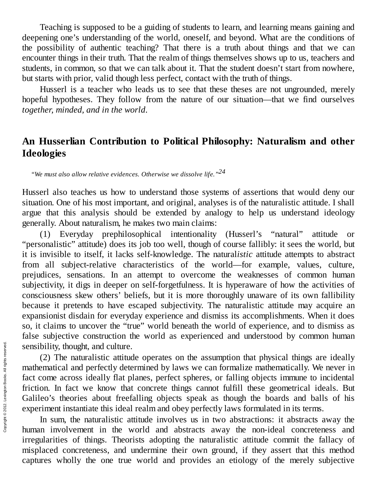Teaching is supposed to be a guiding of students to learn, and learning means gaining and deepening one's understanding of the world, oneself, and beyond. What are the conditions of the possibility of authentic teaching? That there is a truth about things and that we can encounter things in their truth. That the realm of things themselves shows up to us, teachers and students, in common, so that we can talk about it. That the student doesn't start from nowhere, but starts with prior, valid though less perfect, contact with the truth of things.

Husserl is a teacher who leads us to see that these theses are not ungrounded, merely hopeful hypotheses. They follow from the nature of our situation—that we find ourselves together, minded, and in the world.

## An Husserlian Contribution to Political Philosophy: Naturalism and other **Ideologies**

*"We must also allow relative evidences. Otherwise we dissolve life."24*

Husserl also teaches us how to understand those systems of assertions that would deny our situation. One of his most important, and original, analyses is of the naturalistic attitude. I shall argue that this analysis should be extended by analogy to help us understand ideology generally. About naturalism, he makes two main claims:

(1) Everyday prephilosophical intentionality (Husserl's "natural" attitude or "personalistic" attitude) does its job too well, though of course fallibly: it sees the world, but it is invisible to itself, it lacks self-knowledge. The naturalistic attitude attempts to abstract from all subject-relative characteristics of the world—for example, values, culture, prejudices, sensations. In an attempt to overcome the weaknesses of common human subjectivity, it digs in deeper on self-forgetfulness. It is hyperaware of how the activities of consciousness skew others' beliefs, but it is more thoroughly unaware of its own fallibility because it pretends to have escaped subjectivity. The naturalistic attitude may acquire an expansionist disdain for everyday experience and dismiss its accomplishments. When it does so, it claims to uncover the "true" world beneath the world of experience, and to dismiss as false subjective construction the world as experienced and understood by common human sensibility, thought, and culture.

(2) The naturalistic attitude operates on the assumption that physical things are ideally mathematical and perfectly determined by laws we can formalize mathematically. We never in fact come across ideally flat planes, perfect spheres, or falling objects immune to incidental friction. In fact we know that concrete things cannot fulfill these geometrical ideals. But Galileo's theories about freefalling objects speak as though the boards and balls of his experiment instantiate this ideal realm and obey perfectly laws formulated in its terms.

In sum, the naturalistic attitude involves us in two abstractions: it abstracts away the human involvement in the world and abstracts away the non-ideal concreteness and irregularities of things. Theorists adopting the naturalistic attitude commit the fallacy of misplaced concreteness, and undermine their own ground, if they assert that this method captures wholly the one true world and provides an etiology of the merely subjective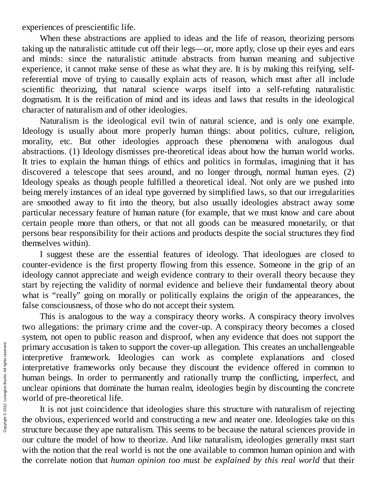experiences of prescientific life.

When these abstractions are applied to ideas and the life of reason, theorizing persons taking up the naturalistic attitude cut off their legs—or, more aptly, close up their eyes and ears and minds: since the naturalistic attitude abstracts from human meaning and subjective experience, it cannot make sense of these as what they are. It is by making this reifying, selfreferential move of trying to causally explain acts of reason, which must after all include scientific theorizing, that natural science warps itself into a self-refuting naturalistic dogmatism. It is the reification of mind and its ideas and laws that results in the ideological character of naturalism and of other ideologies.

Naturalism is the ideological evil twin of natural science, and is only one example. Ideology is usually about more properly human things: about politics, culture, religion, morality, etc. But other ideologies approach these phenomena with analogous dual abstractions. (1) Ideology dismisses pre-theoretical ideas about how the human world works. It tries to explain the human things of ethics and politics in formulas, imagining that it has discovered a telescope that sees around, and no longer through, normal human eyes. (2) Ideology speaks as though people fulfilled a theoretical ideal. Not only are we pushed into being merely instances of an ideal type governed by simplified laws, so that our irregularities are smoothed away to fit into the theory, but also usually ideologies abstract away some particular necessary feature of human nature (for example, that we must know and care about certain people more than others, or that not all goods can be measured monetarily, or that persons bear responsibility for their actions and products despite the social structures they find themselves within).

I suggest these are the essential features of ideology. That ideologues are closed to counter-evidence is the first property flowing from this essence. Someone in the grip of an ideology cannot appreciate and weigh evidence contrary to their overall theory because they start by rejecting the validity of normal evidence and believe their fundamental theory about what is "really" going on morally or politically explains the origin of the appearances, the false consciousness, of those who do not accept their system.

This is analogous to the way a conspiracy theory works. A conspiracy theory involves two allegations: the primary crime and the cover-up. A conspiracy theory becomes a closed system, not open to public reason and disproof, when any evidence that does not support the primary accusation is taken to support the cover-up allegation. This creates an unchallengeable interpretive framework. Ideologies can work as complete explanations and closed interpretative frameworks only because they discount the evidence offered in common to human beings. In order to permanently and rationally trump the conflicting, imperfect, and unclear opinions that dominate the human realm, ideologies begin by discounting the concrete world of pre-theoretical life.

It is not just coincidence that ideologies share this structure with naturalism of rejecting the obvious, experienced world and constructing a new and neater one. Ideologies take on this structure because they ape naturalism. This seems to be because the natural sciences provide in our culture the model of how to theorize. And like naturalism, ideologies generally must start with the notion that the real world is not the one available to common human opinion and with the correlate notion that *human opinion too must be explained by this real world* that their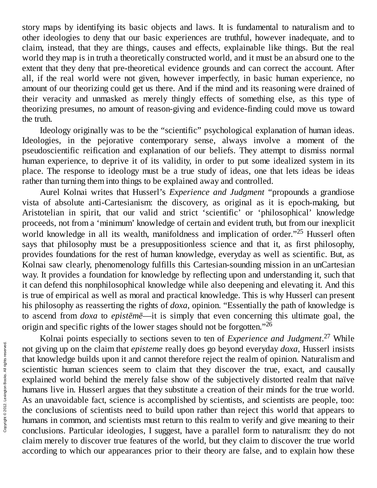story maps by identifying its basic objects and laws. It is fundamental to naturalism and to other ideologies to deny that our basic experiences are truthful, however inadequate, and to claim, instead, that they are things, causes and effects, explainable like things. But the real world they map is in truth a theoretically constructed world, and it must be an absurd one to the extent that they deny that pre-theoretical evidence grounds and can correct the account. After all, if the real world were not given, however imperfectly, in basic human experience, no amount of our theorizing could get us there. And if the mind and its reasoning were drained of their veracity and unmasked as merely thingly effects of something else, as this type of theorizing presumes, no amount of reason-giving and evidence-finding could move us toward the truth.

Ideology originally was to be the "scientific" psychological explanation of human ideas. Ideologies, in the pejorative contemporary sense, always involve a moment of the pseudoscientific reification and explanation of our beliefs. They attempt to dismiss normal human experience, to deprive it of its validity, in order to put some idealized system in its place. The response to ideology must be a true study of ideas, one that lets ideas be ideas rather than turning them into things to be explained away and controlled.

Aurel Kolnai writes that Husserl's *Experience and Judgment* "propounds a grandiose vista of absolute anti-Cartesianism: the discovery, as original as it is epoch-making, but Aristotelian in spirit, that our valid and strict 'scientific' or 'philosophical' knowledge proceeds, not from a 'minimum' knowledge of certain and evident truth, but from our inexplicit world knowledge in all its wealth, manifoldness and implication of order."<sup>25</sup> Husserl often says that philosophy must be a presuppositionless science and that it, as first philosophy, provides foundations for the rest of human knowledge, everyday as well as scientific. But, as Kolnai saw clearly, phenomenology fulfills this Cartesian-sounding mission in an unCartesian way. It provides a foundation for knowledge by reflecting upon and understanding it, such that it can defend this nonphilosophical knowledge while also deepening and elevating it. And this is true of empirical as well as moral and practical knowledge. This is why Husserl can present his philosophy as reasserting the rights of *doxa*, opinion. "Essentially the path of knowledge is to ascend from *doxa* to *episteme*—it is simply that even concerning this ultimate goal, the origin and specific rights of the lower stages should not be forgotten."<sup>26</sup>

Kolnai points especially to sections seven to ten of *Experience and Judgment*.<sup>27</sup> While not giving up on the claim that *episteme* really does go beyond everyday *doxa*, Husserl insists that knowledge builds upon it and cannot therefore reject the realm of opinion. Naturalism and scientistic human sciences seem to claim that they discover the true, exact, and causally explained world behind the merely false show of the subjectively distorted realm that naïve humans live in. Husserl argues that they substitute a creation of their minds for the true world. As an unavoidable fact, science is accomplished by scientists, and scientists are people, too: the conclusions of scientists need to build upon rather than reject this world that appears to humans in common, and scientists must return to this realm to verify and give meaning to their conclusions. Particular ideologies, I suggest, have a parallel form to naturalism: they do not claim merely to discover true features of the world, but they claim to discover the true world according to which our appearances prior to their theory are false, and to explain how these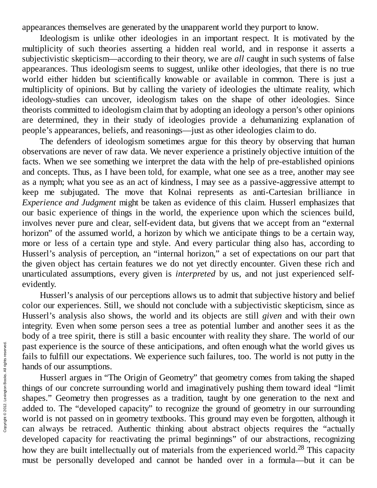appearances themselves are generated by the unapparent world they purport to know.

Ideologism is unlike other ideologies in an important respect. It is motivated by the multiplicity of such theories asserting a hidden real world, and in response it asserts a subjectivistic skepticism—according to their theory, we are *all* caught in such systems of false appearances. Thus ideologism seems to suggest, unlike other ideologies, that there is no true world either hidden but scientifically knowable or available in common. There is just a multiplicity of opinions. But by calling the variety of ideologies the ultimate reality, which ideology-studies can uncover, ideologism takes on the shape of other ideologies. Since theorists committed to ideologism claim that by adopting an ideology a person's other opinions are determined, they in their study of ideologies provide a dehumanizing explanation of people's appearances, beliefs, and reasonings—just as other ideologies claim to do.

The defenders of ideologism sometimes argue for this theory by observing that human observations are never of raw data. We never experience a pristinely objective intuition of the facts. When we see something we interpret the data with the help of pre-established opinions and concepts. Thus, as I have been told, for example, what one see as a tree, another may see as a nymph; what you see as an act of kindness, I may see as a passive-aggressive attempt to keep me subjugated. The move that Kolnai represents as anti-Cartesian brilliance in *Experience and Judgment* might be taken as evidence of this claim. Husserl emphasizes that our basic experience of things in the world, the experience upon which the sciences build, involves never pure and clear, self-evident data, but givens that we accept from an "external horizon" of the assumed world, a horizon by which we anticipate things to be a certain way, more or less of a certain type and style. And every particular thing also has, according to Husserl's analysis of perception, an "internal horizon," a set of expectations on our part that the given object has certain features we do not yet directly encounter. Given these rich and unarticulated assumptions, every given is *interpreted* by us, and not just experienced selfevidently.

Husserl's analysis of our perceptions allows us to admit that subjective history and belief color our experiences. Still, we should not conclude with a subjectivistic skepticism, since as Husserl's analysis also shows, the world and its objects are still *given* and with their own integrity. Even when some person sees a tree as potential lumber and another sees it as the body of a tree spirit, there is still a basic encounter with reality they share. The world of our past experience is the source of these anticipations, and often enough what the world gives us fails to fulfill our expectations. We experience such failures, too. The world is not putty in the hands of our assumptions.

Husserl argues in "The Origin of Geometry" that geometry comes from taking the shaped things of our concrete surrounding world and imaginatively pushing them toward ideal "limit shapes." Geometry then progresses as a tradition, taught by one generation to the next and added to. The "developed capacity" to recognize the ground of geometry in our surrounding world is not passed on in geometry textbooks. This ground may even be forgotten, although it can always be retraced. Authentic thinking about abstract objects requires the "actually developed capacity for reactivating the primal beginnings" of our abstractions, recognizing how they are built intellectually out of materials from the experienced world.<sup>28</sup> This capacity must be personally developed and cannot be handed over in a formula—but it can be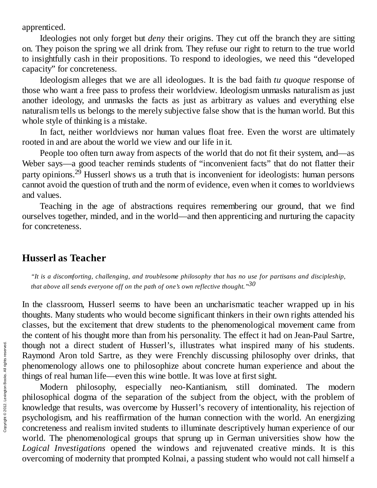apprenticed.

Ideologies not only forget but *deny* their origins. They cut off the branch they are sitting on. They poison the spring we all drink from. They refuse our right to return to the true world to insightfully cash in their propositions. To respond to ideologies, we need this "developed capacity" for concreteness.

Ideologism alleges that we are all ideologues. It is the bad faith tu quoque response of those who want a free pass to profess their worldview. Ideologism unmasks naturalism as just another ideology, and unmasks the facts as just as arbitrary as values and everything else naturalism tells us belongs to the merely subjective false show that is the human world. But this whole style of thinking is a mistake.

In fact, neither worldviews nor human values float free. Even the worst are ultimately rooted in and are about the world we view and our life in it.

People too often turn away from aspects of the world that do not fit their system, and—as Weber says—a good teacher reminds students of "inconvenient facts" that do not flatter their party opinions.<sup>29</sup> Husserl shows us a truth that is inconvenient for ideologists: human persons cannot avoid the question of truth and the norm of evidence, even when it comes to worldviews and values.

Teaching in the age of abstractions requires remembering our ground, that we find ourselves together, minded, and in the world—and then apprenticing and nurturing the capacity for concreteness.

### **Husserl as Teacher**

"It is a discomforting, challenging, and troublesome philosophy that has no use for partisans and discipleship, *that above all sends everyone off on the path of one's own reflective thought.*"30

In the classroom, Husserl seems to have been an uncharismatic teacher wrapped up in his thoughts. Many students who would become significant thinkers in their own rights attended his classes, but the excitement that drew students to the phenomenological movement came from the content of his thought more than from his personality. The effect it had on Jean-Paul Sartre, though not a direct student of Husserl's, illustrates what inspired many of his students. Raymond Aron told Sartre, as they were Frenchly discussing philosophy over drinks, that phenomenology allows one to philosophize about concrete human experience and about the things of real human life—even this wine bottle. It was love at first sight.

Modern philosophy, especially neo-Kantianism, still dominated. The modern philosophical dogma of the separation of the subject from the object, with the problem of knowledge that results, was overcome by Husserl's recovery of intentionality, his rejection of psychologism, and his reaffirmation of the human connection with the world. An energizing concreteness and realism invited students to illuminate descriptively human experience of our world. The phenomenological groups that sprung up in German universities show how the Logical Investigations opened the windows and rejuvenated creative minds. It is this overcoming of modernity that prompted Kolnai, a passing student who would not call himself a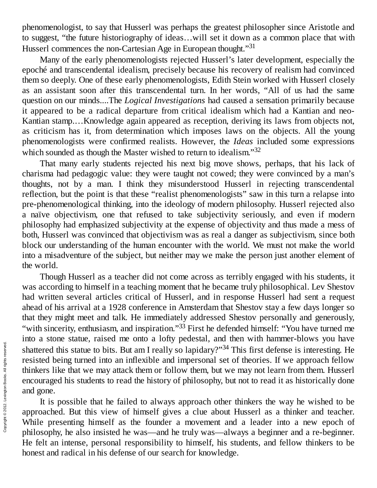phenomenologist, to say that Husserl was perhaps the greatest philosopher since Aristotle and to suggest, "the future historiography of ideas...will set it down as a common place that with Husserl commences the non-Cartesian Age in European thought."<sup>31</sup>

Many of the early phenomenologists rejected Husserl's later development, especially the epoché and transcendental idealism, precisely because his recovery of realism had convinced them so deeply. One of these early phenomenologists, Edith Stein worked with Husserl closely as an assistant soon after this transcendental turn. In her words, "All of us had the same question on our minds....The *Logical Investigations* had caused a sensation primarily because it appeared to be a radical departure from critical idealism which had a Kantian and neo-Kantian stamp....Knowledge again appeared as reception, deriving its laws from objects not, as criticism has it, from determination which imposes laws on the objects. All the young phenomenologists were confirmed realists. However, the *Ideas* included some expressions which sounded as though the Master wished to return to idealism."32

That many early students rejected his next big move shows, perhaps, that his lack of charisma had pedagogic value: they were taught not cowed; they were convinced by a man's thoughts, not by a man. I think they misunderstood Husserl in rejecting transcendental reflection, but the point is that these "realist phenomenologists" saw in this turn a relapse into pre-phenomenological thinking, into the ideology of modern philosophy. Husserl rejected also a naïve objectivism, one that refused to take subjectivity seriously, and even if modern philosophy had emphasized subjectivity at the expense of objectivity and thus made a mess of both, Husserl was convinced that objectivism was as real a danger as subjectivism, since both block our understanding of the human encounter with the world. We must not make the world into a misadventure of the subject, but neither may we make the person just another element of the world.

Though Husserl as a teacher did not come across as terribly engaged with his students, it was according to himself in a teaching moment that he became truly philosophical. Lev Shestov had written several articles critical of Husserl, and in response Husserl had sent a request ahead of his arrival at a 1928 conference in Amsterdam that Shestov stay a few days longer so that they might meet and talk. He immediately addressed Shestov personally and generously, "with sincerity, enthusiasm, and inspiration."<sup>33</sup> First he defended himself: "You have turned me into a stone statue, raised me onto a lofty pedestal, and then with hammer-blows you have shattered this statue to bits. But am I really so lapidary?"<sup>34</sup> This first defense is interesting. He resisted being turned into an inflexible and impersonal set of theories. If we approach fellow thinkers like that we may attack them or follow them, but we may not learn from them. Husserl encouraged his students to read the history of philosophy, but not to read it as historically done and gone.

It is possible that he failed to always approach other thinkers the way he wished to be approached. But this view of himself gives a clue about Husserl as a thinker and teacher. While presenting himself as the founder a movement and a leader into a new epoch of philosophy, he also insisted he was—and he truly was—always a beginner and a re-beginner. He felt an intense, personal responsibility to himself, his students, and fellow thinkers to be honest and radical in his defense of our search for knowledge.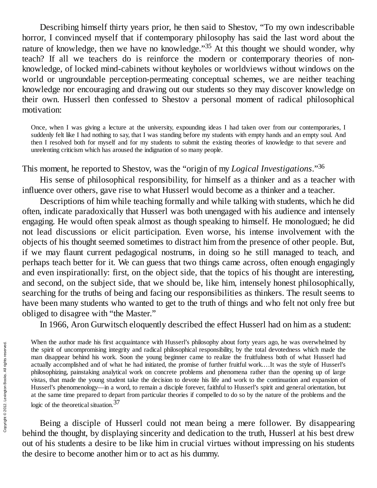Describing himself thirty years prior, he then said to Shestov, "To my own indescribable horror, I convinced myself that if contemporary philosophy has said the last word about the nature of knowledge, then we have no knowledge."<sup>35</sup> At this thought we should wonder, why teach? If all we teachers do is reinforce the modern or contemporary theories of nonknowledge, of locked mind-cabinets without keyholes or worldviews without windows on the world or ungroundable perception-permeating conceptual schemes, we are neither teaching knowledge nor encouraging and drawing out our students so they may discover knowledge on their own. Husserl then confessed to Shestov a personal moment of radical philosophical motivation:

Once, when I was giving a lecture at the university, expounding ideas I had taken over from our contemporaries, I suddenly felt like I had nothing to say, that I was standing before my students with empty hands and an empty soul. And then I resolved both for myself and for my students to submit the existing theories of knowledge to that severe and unrelenting criticism which has aroused the indignation of so many people.

This moment, he reported to Shestov, was the "origin of my *Logical Investigations*."<sup>36</sup>

His sense of philosophical responsibility, for himself as a thinker and as a teacher with influence over others, gave rise to what Husserl would become as a thinker and a teacher.

Descriptions of him while teaching formally and while talking with students, which he did often, indicate paradoxically that Husserl was both unengaged with his audience and intensely engaging. He would often speak almost as though speaking to himself. He monologued; he did not lead discussions or elicit participation. Even worse, his intense involvement with the objects of his thought seemed sometimes to distract him from the presence of other people. But, if we may flaunt current pedagogical nostrums, in doing so he still managed to teach, and perhaps teach better for it. We can guess that two things came across, often enough engagingly and even inspirationally: first, on the object side, that the topics of his thought are interesting, and second, on the subject side, that we should be, like him, intensely honest philosophically, searching for the truths of being and facing our responsibilities as thinkers. The result seems to have been many students who wanted to get to the truth of things and who felt not only free but obliged to disagree with "the Master."

In 1966, Aron Gurwitsch eloquently described the effect Husserl had on him as a student:

When the author made his first acquaintance with Husserl's philosophy about forty years ago, he was overwhelmed by the spirit of uncompromising integrity and radical philosophical responsibility, by the total devotedness which made the man disappear behind his work. Soon the young beginner came to realize the fruitfulness both of what Husserl had actually accomplished and of what he had initiated, the promise of further fruitful work....It was the style of Husserl's philosophizing, painstaking analytical work on concrete problems and phenomena rather than the opening up of large vistas, that made the young student take the decision to devote his life and work to the continuation and expansion of Husserl's phenomenology—in a word, to remain a disciple forever, faithful to Husserl's spirit and general orientation, but at the same time prepared to depart from particular theories if compelled to do so by the nature of the problems and the logic of the theoretical situation. $37$ 

Being a disciple of Husserl could not mean being a mere follower. By disappearing behind the thought, by displaying sincerity and dedication to the truth, Husserl at his best drew out of his students a desire to be like him in crucial virtues without impressing on his students the desire to become another him or to act as his dummy.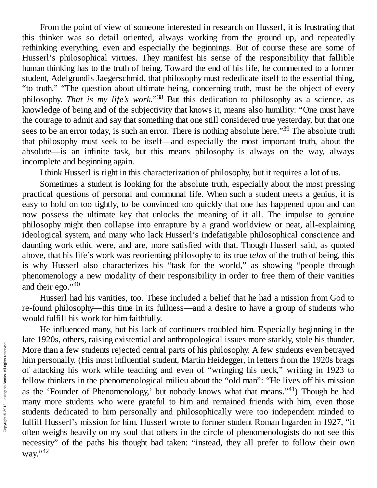From the point of view of someone interested in research on Husserl, it is frustrating that this thinker was so detail oriented, always working from the ground up, and repeatedly rethinking everything, even and especially the beginnings. But of course these are some of Husserl's philosophical virtues. They manifest his sense of the responsibility that fallible human thinking has to the truth of being. Toward the end of his life, he commented to a former student, Adelgrundis Jaegerschmid, that philosophy must rededicate itself to the essential thing, "to truth." "The question about ultimate being, concerning truth, must be the object of every philosophy. That is my life's work."<sup>38</sup> But this dedication to philosophy as a science, as knowledge of being and of the subjectivity that knows it, means also humility: "One must have the courage to admit and say that something that one still considered true yesterday, but that one sees to be an error today, is such an error. There is nothing absolute here." $39$  The absolute truth that philosophy must seek to be itself—and especially the most important truth, about the absolute—is an infinite task, but this means philosophy is always on the way, always incomplete and beginning again.

I think Husserl is right in this characterization of philosophy, but it requires a lot of us.

Sometimes a student is looking for the absolute truth, especially about the most pressing practical questions of personal and communal life. When such a student meets a genius, it is easy to hold on too tightly, to be convinced too quickly that one has happened upon and can now possess the ultimate key that unlocks the meaning of it all. The impulse to genuine philosophy might then collapse into enrapture by a grand worldview or neat, all-explaining ideological system, and many who lack Husserl's indefatigable philosophical conscience and daunting work ethic were, and are, more satisfied with that. Though Husserl said, as quoted above, that his life's work was reorienting philosophy to its true *telos* of the truth of being, this is why Husserl also characterizes his "task for the world," as showing "people through phenomenology a new modality of their responsibility in order to free them of their vanities and their ego." $40$ 

Husserl had his vanities, too. These included a belief that he had a mission from God to re-found philosophy—this time in its fullness—and a desire to have a group of students who would fulfill his work for him faithfully.

He influenced many, but his lack of continuers troubled him. Especially beginning in the late 1920s, others, raising existential and anthropological issues more starkly, stole his thunder. More than a few students rejected central parts of his philosophy. A few students even betrayed him personally. (His most influential student, Martin Heidegger, in letters from the 1920s brags of attacking his work while teaching and even of "wringing his neck," writing in 1923 to fellow thinkers in the phenomenological milieu about the "old man": "He lives off his mission as the 'Founder of Phenomenology,' but nobody knows what that means."<sup>41</sup>) Though he had many more students who were grateful to him and remained friends with him, even those students dedicated to him personally and philosophically were too independent minded to fulfill Husserl's mission for him. Husserl wrote to former student Roman Ingarden in 1927, "it often weighs heavily on my soul that others in the circle of phenomenologists do not see this necessity" of the paths his thought had taken: "instead, they all prefer to follow their own way."42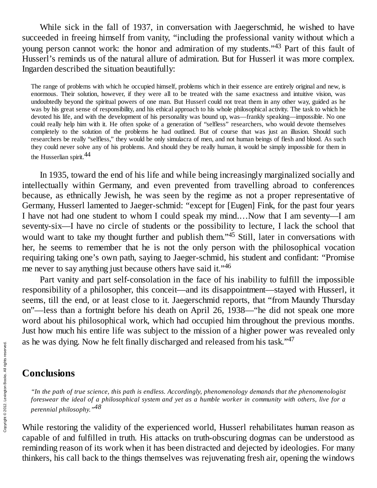While sick in the fall of 1937, in conversation with Jaegerschmid, he wished to have succeeded in freeing himself from vanity, "including the professional vanity without which a young person cannot work: the honor and admiration of my students." $43$  Part of this fault of Husserl's reminds us of the natural allure of admiration. But for Husserl it was more complex. Ingarden described the situation beautifully:

The range of problems with which he occupied himself, problems which in their essence are entirely original and new, is enormous. Their solution, however, if they were all to be treated with the same exactness and intuitive vision, was undoubtedly beyond the spiritual powers of one man. But Husserl could not treat them in any other way, guided as he was by his great sense of responsibility, and his ethical approach to his whole philosophical activity. The task to which he devoted his life, and with the development of his personality was bound up, was—frankly speaking—impossible. No one could really help him with it. He often spoke of a generation of "selfless" researchers, who would devote themselves completely to the solution of the problems he had outlined. But of course that was just an illusion. Should such researchers be really "selfless," they would be only simulacra of men, and not human beings of flesh and blood. As such they could never solve any of his problems. And should they be really human, it would be simply impossible for them in the Husserlian spirit.<sup>44</sup>

In 1935, toward the end of his life and while being increasingly marginalized socially and intellectually within Germany, and even prevented from travelling abroad to conferences because, as ethnically Jewish, he was seen by the regime as not a proper representative of Germany, Husserl lamented to Jaeger-schmid: "except for [Eugen] Fink, for the past four years I have not had one student to whom I could speak my mind....Now that I am seventy—I am seventy-six—I have no circle of students or the possibility to lecture, I lack the school that would want to take my thought further and publish them." $45$  Still, later in conversations with her, he seems to remember that he is not the only person with the philosophical vocation requiring taking one's own path, saying to Jaeger-schmid, his student and confidant: "Promise me never to say anything just because others have said it."46

Part vanity and part self-consolation in the face of his inability to fulfill the impossible responsibility of a philosopher, this conceit—and its disappointment—stayed with Husserl, it seems, till the end, or at least close to it. Jaegerschmid reports, that "from Maundy Thursday on"—less than a fortnight before his death on April 26, 1938—"he did not speak one more word about his philosophical work, which had occupied him throughout the previous months. Just how much his entire life was subject to the mission of a higher power was revealed only as he was dying. Now he felt finally discharged and released from his task."<sup>47</sup>

#### **Conclusions**

*"In the path of true science, this path is endless. Accordingly, phenomenology demands that the phenomenologist foreswear the ideal of a philosophical system and yet as a humble worker in community with others, live for a perennial philosophy."48*

While restoring the validity of the experienced world, Husserl rehabilitates human reason as capable of and fulfilled in truth. His attacks on truth-obscuring dogmas can be understood as reminding reason of its work when it has been distracted and dejected by ideologies. For many thinkers, his call back to the things themselves was rejuvenating fresh air, opening the windows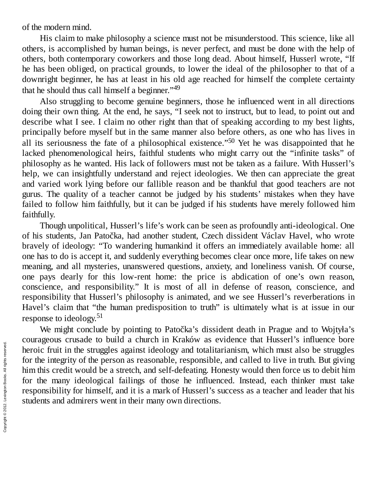of the modern mind.

His claim to make philosophy a science must not be misunderstood. This science, like all others, is accomplished by human beings, is never perfect, and must be done with the help of others, both contemporary coworkers and those long dead. About himself, Husserl wrote, "If he has been obliged, on practical grounds, to lower the ideal of the philosopher to that of a downright beginner, he has at least in his old age reached for himself the complete certainty that he should thus call himself a beginner." $49$ 

Also struggling to become genuine beginners, those he influenced went in all directions doing their own thing. At the end, he says, "I seek not to instruct, but to lead, to point out and describe what I see. I claim no other right than that of speaking according to my best lights, principally before myself but in the same manner also before others, as one who has lives in all its seriousness the fate of a philosophical existence."<sup>50</sup> Yet he was disappointed that he lacked phenomenological heirs, faithful students who might carry out the "infinite tasks" of philosophy as he wanted. His lack of followers must not be taken as a failure. With Husserl's help, we can insightfully understand and reject ideologies. We then can appreciate the great and varied work lying before our fallible reason and be thankful that good teachers are not gurus. The quality of a teacher cannot be judged by his students' mistakes when they have failed to follow him faithfully, but it can be judged if his students have merely followed him faithfully.

Though unpolitical, Husserl's life's work can be seen as profoundly anti-ideological. One of his students, Jan Patočka, had another student, Czech dissident Václav Havel, who wrote bravely of ideology: "To wandering humankind it offers an immediately available home: all one has to do is accept it, and suddenly everything becomes clear once more, life takes on new meaning, and all mysteries, unanswered questions, anxiety, and loneliness vanish. Of course, one pays dearly for this low-rent home: the price is abdication of one's own reason, conscience, and responsibility." It is most of all in defense of reason, conscience, and responsibility that Husserl's philosophy is animated, and we see Husserl's reverberations in Havel's claim that "the human predisposition to truth" is ultimately what is at issue in our response to ideology. $51$ 

We might conclude by pointing to Patočka's dissident death in Prague and to Wojtyła's courageous crusade to build a church in Kraków as evidence that Husserl's influence bore heroic fruit in the struggles against ideology and totalitarianism, which must also be struggles for the integrity of the person as reasonable, responsible, and called to live in truth. But giving him this credit would be a stretch, and self-defeating. Honesty would then force us to debit him for the many ideological failings of those he influenced. Instead, each thinker must take responsibility for himself, and it is a mark of Husserl's success as a teacher and leader that his students and admirers went in their many own directions.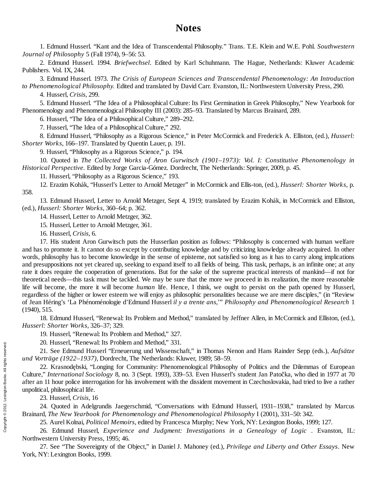#### **Notes**

1. Edmund Husserl. "Kant and the Idea of Transcendental Philosophy." Trans. T.E. Klein and W.E. Pohl. *Southwestern Journal of Philosophy* 5 (Fall 1974), 9-56: 53.

2. Edmund Husserl. 1994. *Briefwechsel*. Edited by Karl Schuhmann. The Hague, Netherlands: Kluwer Academic Publishers. Vol. IX, 244.

3. Edmund Husserl. 1973. *The Crisis of European Sciences and Transcendental Phenomenology: An Introduction* to Phenomenological Philosophy. Edited and translated by David Carr. Evanston, IL: Northwestern University Press, 290.

4. Husserl, *Crisis*, 299.

5. Edmund Husserl. "The Idea of a Philosophical Culture: Its First Germination in Greek Philosophy," New Yearbook for Phenomenology and Phenomenological Philosophy III (2003): 285–93. Translated by Marcus Brainard, 289.

6. Husserl, "The Idea of a Philosophical Culture," 289-292.

7. Husserl, "The Idea of a Philosophical Culture," 292.

8. Edmund Husserl, "Philosophy as a Rigorous Science," in Peter McCormick and Frederick A. Elliston, (ed.), *Husserl: Shorter Works*, 166–197. Translated by Quentin Lauer, p. 191.

9. Husserl, "Philosophy as a Rigorous Science," p. 194.

10. Quoted in *The Collected Works of Aron Gurwitsch (1901–1973): Vol. I: Constitutive Phenomenology in Historical Perspective*. Edited by Jorge Garcia-Gómez. Dordrecht, The Netherlands: Springer, 2009, p. 45.

11. Husserl, "Philosophy as a Rigorous Science," 193.

12. Erazim Kohák, "Husserl's Letter to Arnold Metzger" in McCormick and Ellis-ton, (ed.), *Husserl: Shorter Works*, p. 358.

13. Edmund Husserl, Letter to Arnold Metzger, Sept 4, 1919; translated by Erazim Kohák, in McCormick and Elliston, (ed.), *Husserl: Shorter Works*, 360–64; p. 362.

14. Husserl, Letter to Arnold Metzger, 362.

15. Husserl, Letter to Arnold Metzger, 361.

16. Husserl, *Crisis*, 6.

17. His student Aron Gurwitsch puts the Husserlian position as follows: "Philosophy is concerned with human welfare and has to promote it. It cannot do so except by contributing knowledge and by criticizing knowledge already acquired. In other words, philosophy has to become knowledge in the sense of episteme, not satisfied so long as it has to carry along implications and presuppositions not yet cleared up, seeking to expand itself to all fields of being. This task, perhaps, is an infinite one; at any rate it does require the cooperation of generations. But for the sake of the supreme practical interests of mankind—if not for theoretical needs—this task must be tackled. We may be sure that the more we proceed in its realization, the more reasonable life will become, the more it will become *human* life. Hence, I think, we ought to persist on the path opened by Husserl, regardless of the higher or lower esteem we will enjoy as philosophic personalities because we are mere disciples," (in "Review of Jean Héring's 'La Phénoménologie d'Edmund Husserl *il y a trente ans*," *Philosophy and Phenomenological Research* 1  $(1940), 515.$ 

18. Edmund Husserl, "Renewal: Its Problem and Method," translated by Jeffner Allen, in McCormick and Elliston, (ed.), *Husserl: Shorter Works*, 326–37; 329.

19. Husserl, "Renewal: Its Problem and Method," 327.

20. Husserl, "Renewal: Its Problem and Method," 331.

21. See Edmund Husserl "Erneuerung und Wissenschaft," in Thomas Nenon and Hans Rainder Sepp (eds.), Aufsätze und Vorträge (1922–1937), Dordrecht, The Netherlands: Kluwer, 1989; 58–59.

22. Krasnodębski, "Longing for Community: Phenomenological Philosophy of Politics and the Dilemmas of European Culture," International Sociology 8, no. 3 (Sept. 1993), 339–53. Even Husserl's student Jan Patočka, who died in 1977 at 70 after an 11 hour police interrogation for his involvement with the dissident movement in Czechoslovakia, had tried to live a rather unpolitical, philosophical life.

23. Husserl, *Crisis*, 16

24. Quoted in Adelgrundis Jaegerschmid, "Conversations with Edmund Husserl, 1931–1938," translated by Marcus Brainard, *The New Yearbook for Phenomenology and Phenomenological Philosophy* I (2001), 331–50: 342.

25. Aurel Kolnai, *Political Memoirs*, edited by Francesca Murphy; New York, NY: Lexington Books, 1999; 127.

26. Edmund Husserl, *Experience and Judgment: Investigations in a Genealogy of Logic* . Evanston, IL: Northwestern University Press, 1995; 46.

27. See "The Sovereignty of the Object," in Daniel J. Mahoney (ed.), Privilege and Liberty and Other Essays. New York, NY: Lexington Books, 1999.